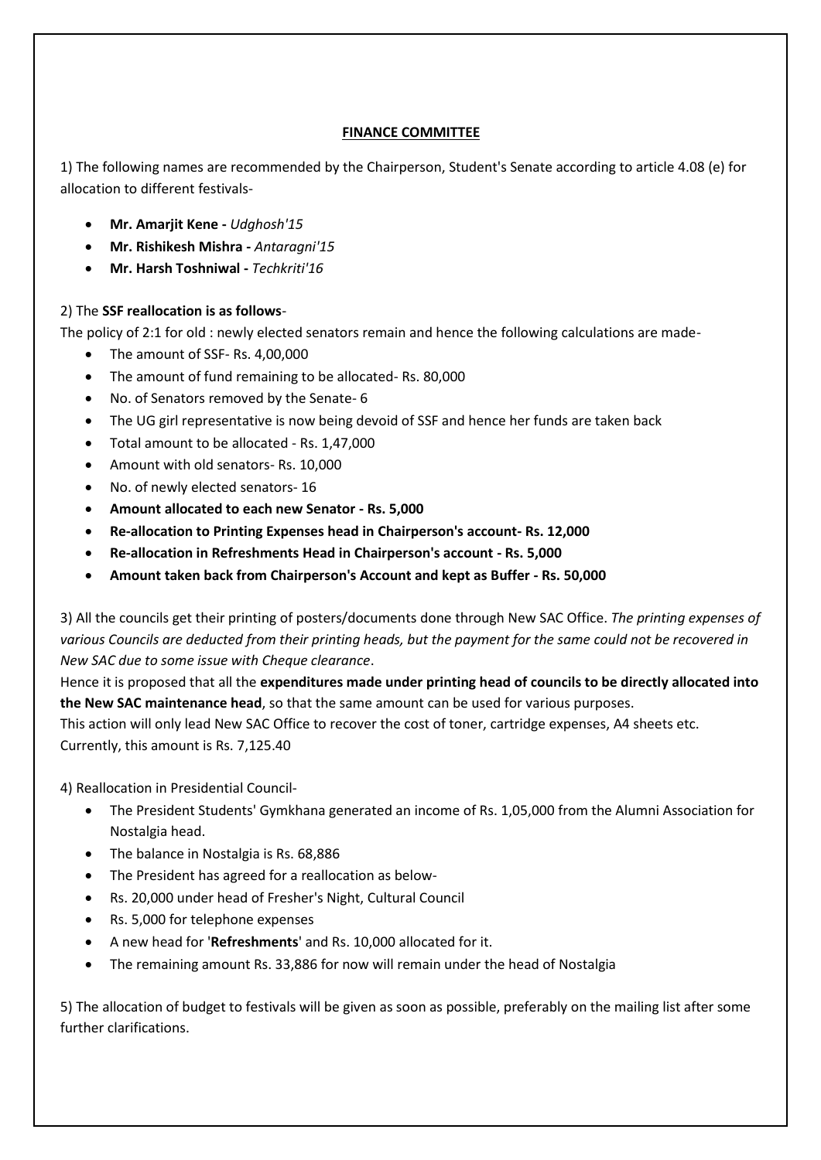## **FINANCE COMMITTEE**

1) The following names are recommended by the Chairperson, Student's Senate according to article 4.08 (e) for allocation to different festivals-

- **Mr. Amarjit Kene -** *Udghosh'15*
- **Mr. Rishikesh Mishra -** *Antaragni'15*
- **Mr. Harsh Toshniwal -** *Techkriti'16*

## 2) The **SSF reallocation is as follows**-

The policy of 2:1 for old : newly elected senators remain and hence the following calculations are made-

- The amount of SSF- Rs. 4,00,000
- The amount of fund remaining to be allocated- Rs. 80,000
- No. of Senators removed by the Senate- 6
- The UG girl representative is now being devoid of SSF and hence her funds are taken back
- Total amount to be allocated Rs. 1,47,000
- Amount with old senators- Rs. 10,000
- No. of newly elected senators- 16
- **Amount allocated to each new Senator - Rs. 5,000**
- **Re-allocation to Printing Expenses head in Chairperson's account- Rs. 12,000**
- **Re-allocation in Refreshments Head in Chairperson's account - Rs. 5,000**
- **Amount taken back from Chairperson's Account and kept as Buffer - Rs. 50,000**

3) All the councils get their printing of posters/documents done through New SAC Office. *The printing expenses of various Councils are deducted from their printing heads, but the payment for the same could not be recovered in New SAC due to some issue with Cheque clearance*.

Hence it is proposed that all the **expenditures made under printing head of councils to be directly allocated into the New SAC maintenance head**, so that the same amount can be used for various purposes.

This action will only lead New SAC Office to recover the cost of toner, cartridge expenses, A4 sheets etc. Currently, this amount is Rs. 7,125.40

4) Reallocation in Presidential Council-

- The President Students' Gymkhana generated an income of Rs. 1,05,000 from the Alumni Association for Nostalgia head.
- The balance in Nostalgia is Rs. 68,886
- The President has agreed for a reallocation as below-
- Rs. 20,000 under head of Fresher's Night, Cultural Council
- Rs. 5,000 for telephone expenses
- A new head for '**Refreshments**' and Rs. 10,000 allocated for it.
- The remaining amount Rs. 33,886 for now will remain under the head of Nostalgia

5) The allocation of budget to festivals will be given as soon as possible, preferably on the mailing list after some further clarifications.